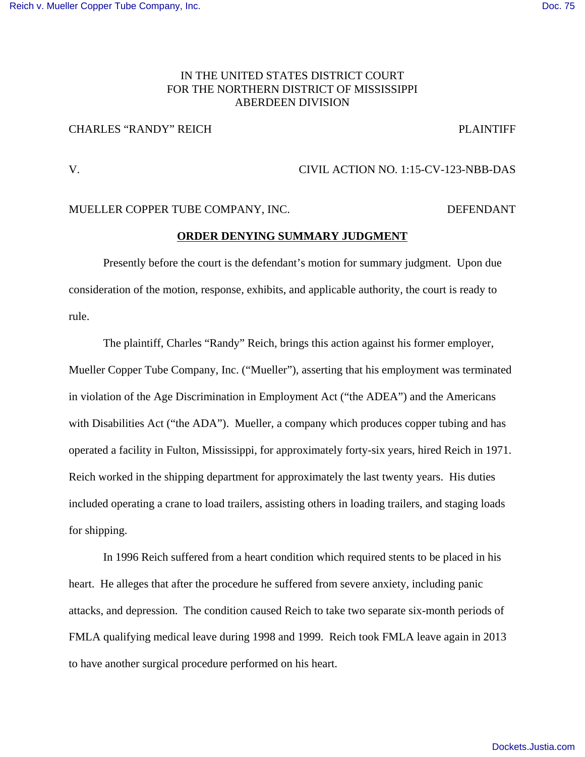## IN THE UNITED STATES DISTRICT COURT FOR THE NORTHERN DISTRICT OF MISSISSIPPI ABERDEEN DIVISION

## CHARLES "RANDY" REICH PLAINTIFF

# V. CIVIL ACTION NO. 1:15-CV-123-NBB-DAS

#### MUELLER COPPER TUBE COMPANY, INC. DEFENDANT

### **ORDER DENYING SUMMARY JUDGMENT**

Presently before the court is the defendant's motion for summary judgment. Upon due consideration of the motion, response, exhibits, and applicable authority, the court is ready to rule.

The plaintiff, Charles "Randy" Reich, brings this action against his former employer, Mueller Copper Tube Company, Inc. ("Mueller"), asserting that his employment was terminated in violation of the Age Discrimination in Employment Act ("the ADEA") and the Americans with Disabilities Act ("the ADA"). Mueller, a company which produces copper tubing and has operated a facility in Fulton, Mississippi, for approximately forty-six years, hired Reich in 1971. Reich worked in the shipping department for approximately the last twenty years. His duties included operating a crane to load trailers, assisting others in loading trailers, and staging loads for shipping.

In 1996 Reich suffered from a heart condition which required stents to be placed in his heart. He alleges that after the procedure he suffered from severe anxiety, including panic attacks, and depression. The condition caused Reich to take two separate six-month periods of FMLA qualifying medical leave during 1998 and 1999. Reich took FMLA leave again in 2013 to have another surgical procedure performed on his heart.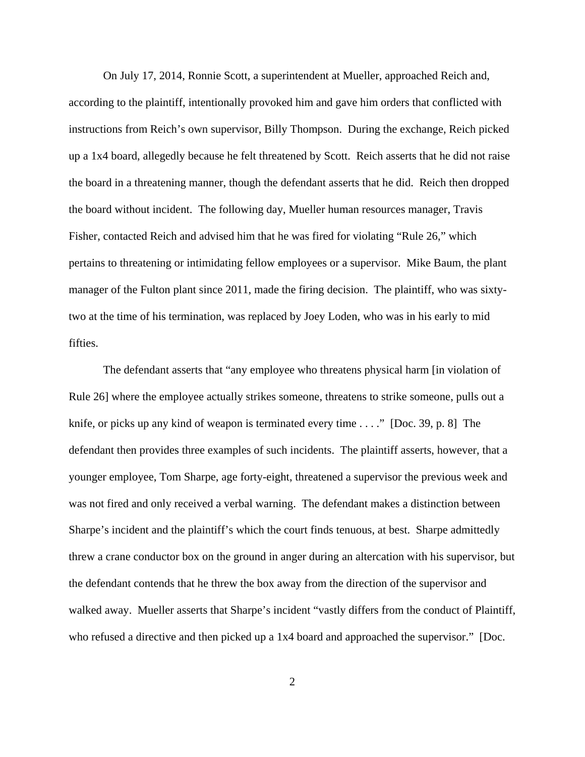On July 17, 2014, Ronnie Scott, a superintendent at Mueller, approached Reich and, according to the plaintiff, intentionally provoked him and gave him orders that conflicted with instructions from Reich's own supervisor, Billy Thompson. During the exchange, Reich picked up a 1x4 board, allegedly because he felt threatened by Scott. Reich asserts that he did not raise the board in a threatening manner, though the defendant asserts that he did. Reich then dropped the board without incident. The following day, Mueller human resources manager, Travis Fisher, contacted Reich and advised him that he was fired for violating "Rule 26," which pertains to threatening or intimidating fellow employees or a supervisor. Mike Baum, the plant manager of the Fulton plant since 2011, made the firing decision. The plaintiff, who was sixtytwo at the time of his termination, was replaced by Joey Loden, who was in his early to mid fifties.

The defendant asserts that "any employee who threatens physical harm [in violation of Rule 26] where the employee actually strikes someone, threatens to strike someone, pulls out a knife, or picks up any kind of weapon is terminated every time  $\dots$ ." [Doc. 39, p. 8] The defendant then provides three examples of such incidents. The plaintiff asserts, however, that a younger employee, Tom Sharpe, age forty-eight, threatened a supervisor the previous week and was not fired and only received a verbal warning. The defendant makes a distinction between Sharpe's incident and the plaintiff's which the court finds tenuous, at best. Sharpe admittedly threw a crane conductor box on the ground in anger during an altercation with his supervisor, but the defendant contends that he threw the box away from the direction of the supervisor and walked away. Mueller asserts that Sharpe's incident "vastly differs from the conduct of Plaintiff, who refused a directive and then picked up a 1x4 board and approached the supervisor." [Doc.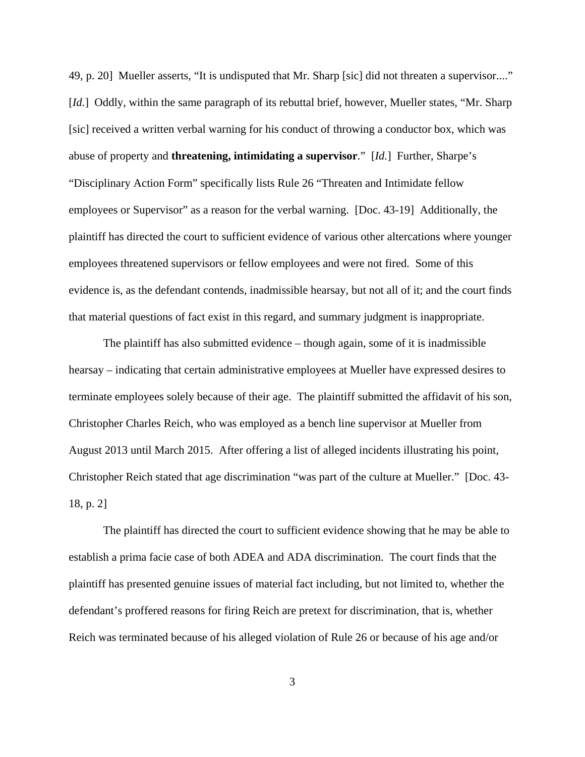49, p. 20] Mueller asserts, "It is undisputed that Mr. Sharp [sic] did not threaten a supervisor...." [*Id.*] Oddly, within the same paragraph of its rebuttal brief, however, Mueller states, "Mr. Sharp" [sic] received a written verbal warning for his conduct of throwing a conductor box, which was abuse of property and **threatening, intimidating a supervisor**." [*Id.*] Further, Sharpe's "Disciplinary Action Form" specifically lists Rule 26 "Threaten and Intimidate fellow employees or Supervisor" as a reason for the verbal warning. [Doc. 43-19] Additionally, the plaintiff has directed the court to sufficient evidence of various other altercations where younger employees threatened supervisors or fellow employees and were not fired. Some of this evidence is, as the defendant contends, inadmissible hearsay, but not all of it; and the court finds that material questions of fact exist in this regard, and summary judgment is inappropriate.

The plaintiff has also submitted evidence – though again, some of it is inadmissible hearsay – indicating that certain administrative employees at Mueller have expressed desires to terminate employees solely because of their age. The plaintiff submitted the affidavit of his son, Christopher Charles Reich, who was employed as a bench line supervisor at Mueller from August 2013 until March 2015. After offering a list of alleged incidents illustrating his point, Christopher Reich stated that age discrimination "was part of the culture at Mueller." [Doc. 43- 18, p. 2]

The plaintiff has directed the court to sufficient evidence showing that he may be able to establish a prima facie case of both ADEA and ADA discrimination. The court finds that the plaintiff has presented genuine issues of material fact including, but not limited to, whether the defendant's proffered reasons for firing Reich are pretext for discrimination, that is, whether Reich was terminated because of his alleged violation of Rule 26 or because of his age and/or

3